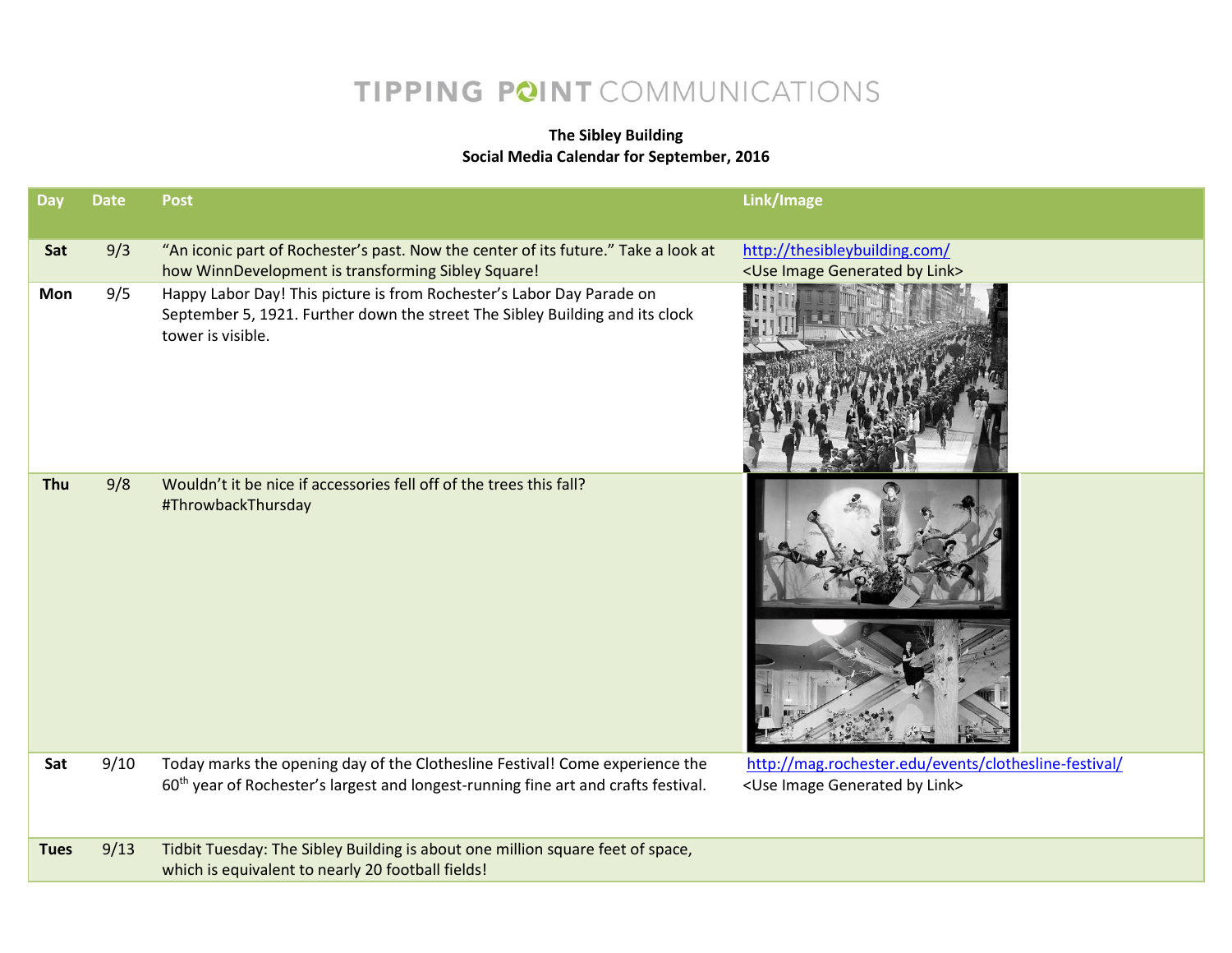## TIPPING POINT COMMUNICATIONS

## **The Sibley Building Social Media Calendar for September, 2016**

| Day         | <b>Date</b> | <b>Post</b>                                                                                                                                                                    | Link/Image                                                                                               |
|-------------|-------------|--------------------------------------------------------------------------------------------------------------------------------------------------------------------------------|----------------------------------------------------------------------------------------------------------|
| Sat         | 9/3         | "An iconic part of Rochester's past. Now the center of its future." Take a look at<br>how WinnDevelopment is transforming Sibley Square!                                       | http://thesibleybuilding.com/<br><use by="" generated="" image="" link=""></use>                         |
| Mon         | 9/5         | Happy Labor Day! This picture is from Rochester's Labor Day Parade on<br>September 5, 1921. Further down the street The Sibley Building and its clock<br>tower is visible.     |                                                                                                          |
| Thu         | 9/8         | Wouldn't it be nice if accessories fell off of the trees this fall?<br>#ThrowbackThursday                                                                                      |                                                                                                          |
| Sat         | 9/10        | Today marks the opening day of the Clothesline Festival! Come experience the<br>60 <sup>th</sup> year of Rochester's largest and longest-running fine art and crafts festival. | http://mag.rochester.edu/events/clothesline-festival/<br><use by="" generated="" image="" link=""></use> |
| <b>Tues</b> | 9/13        | Tidbit Tuesday: The Sibley Building is about one million square feet of space,<br>which is equivalent to nearly 20 football fields!                                            |                                                                                                          |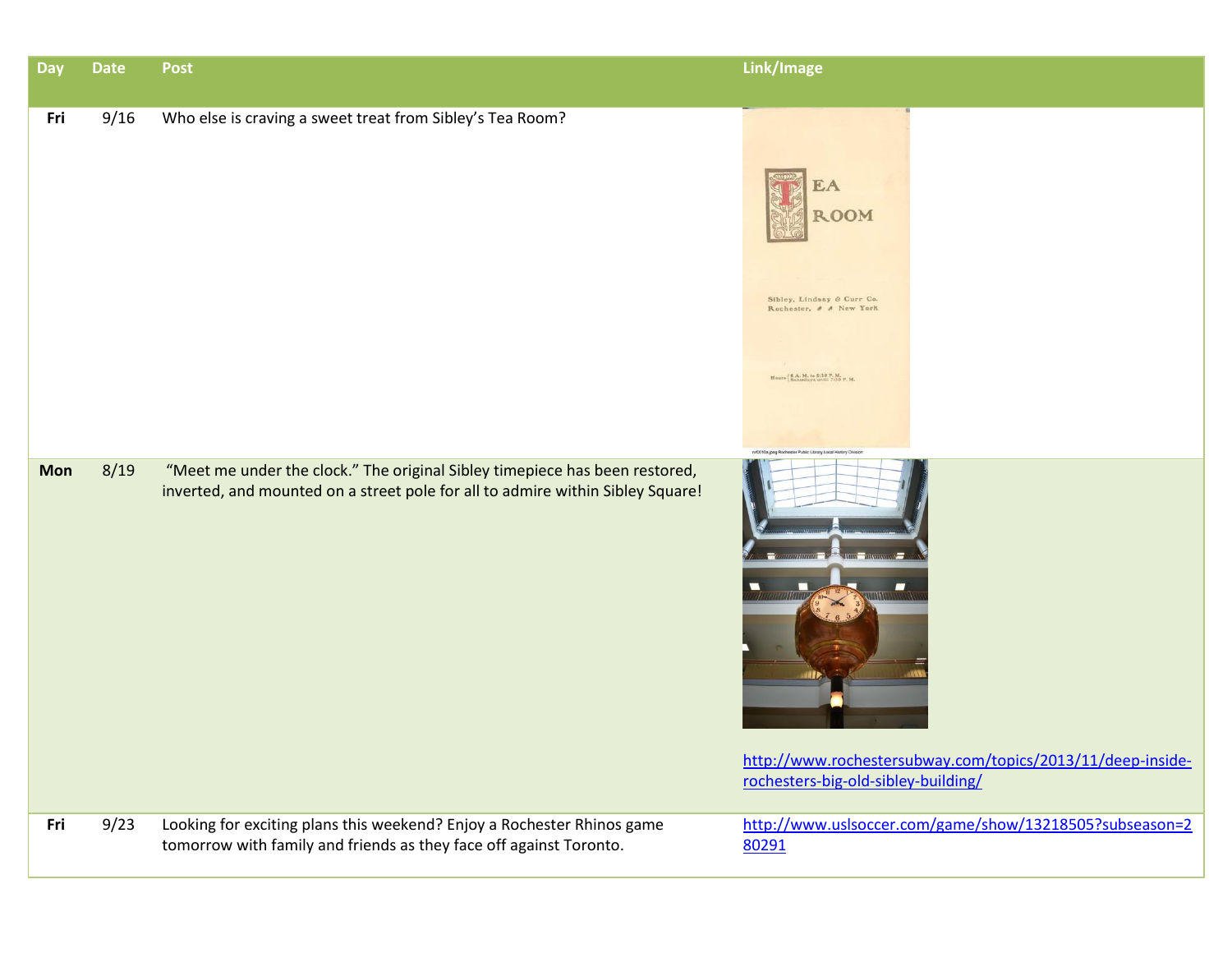| <b>Day</b> | <b>Date</b> | <b>Post</b>                                                                                                                                                   | Link/Image                                                                                                                                                         |
|------------|-------------|---------------------------------------------------------------------------------------------------------------------------------------------------------------|--------------------------------------------------------------------------------------------------------------------------------------------------------------------|
| Fri        | 9/16        | Who else is craving a sweet treat from Sibley's Tea Room?                                                                                                     | EA<br><b>ROOM</b><br>Sibley, Lindsay & Curr Co.<br>Rochester, & & New York<br>Hours   S.A. M. to 5:30 P. M.                                                        |
| <b>Mon</b> | 8/19        | "Meet me under the clock." The original Sibley timepiece has been restored,<br>inverted, and mounted on a street pole for all to admire within Sibley Square! | ry10010a ipen Rochester Public Library Local History Division<br>http://www.rochestersubway.com/topics/2013/11/deep-inside-<br>rochesters-big-old-sibley-building/ |
| Fri        | 9/23        | Looking for exciting plans this weekend? Enjoy a Rochester Rhinos game<br>tomorrow with family and friends as they face off against Toronto.                  | http://www.uslsoccer.com/game/show/13218505?subseason=2<br>80291                                                                                                   |
|            |             |                                                                                                                                                               |                                                                                                                                                                    |